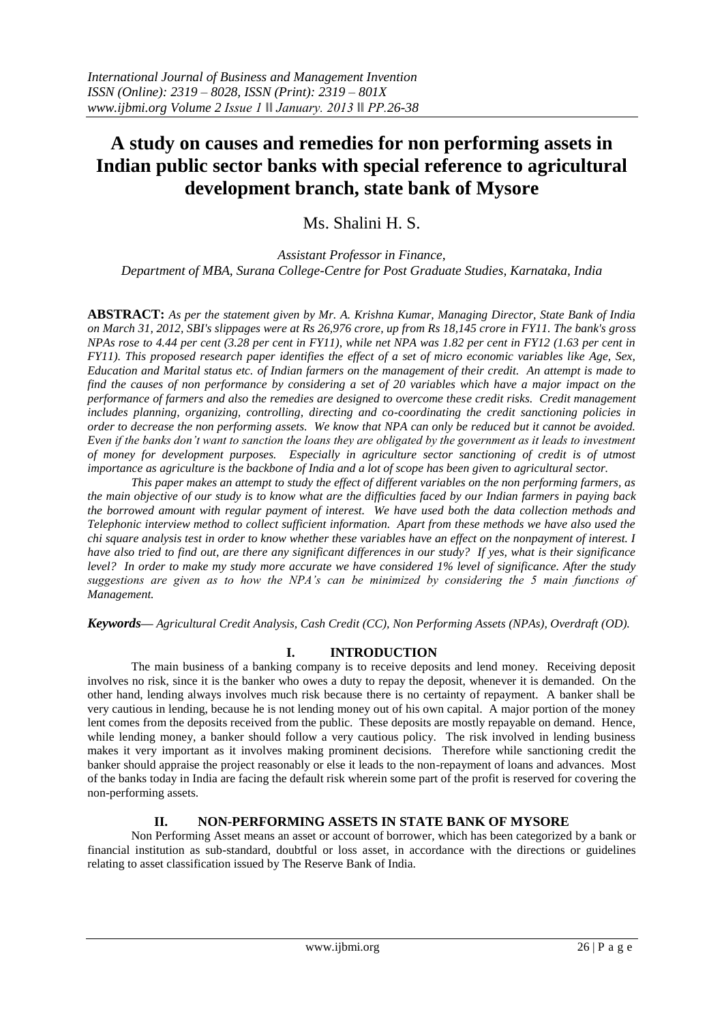# **A study on causes and remedies for non performing assets in Indian public sector banks with special reference to agricultural development branch, state bank of Mysore**

# Ms. Shalini H. S.

*Assistant Professor in Finance, Department of MBA, Surana College-Centre for Post Graduate Studies, Karnataka, India*

**ABSTRACT:** *As per the statement given by Mr. A. Krishna Kumar, Managing Director, State Bank of India on March 31, 2012, SBI's slippages were at Rs 26,976 crore, up from Rs 18,145 crore in FY11. The bank's gross NPAs rose to 4.44 per cent (3.28 per cent in FY11), while net NPA was 1.82 per cent in FY12 (1.63 per cent in FY11). This proposed research paper identifies the effect of a set of micro economic variables like Age, Sex, Education and Marital status etc. of Indian farmers on the management of their credit. An attempt is made to find the causes of non performance by considering a set of 20 variables which have a major impact on the performance of farmers and also the remedies are designed to overcome these credit risks. Credit management includes planning, organizing, controlling, directing and co-coordinating the credit sanctioning policies in order to decrease the non performing assets. We know that NPA can only be reduced but it cannot be avoided. Even if the banks don't want to sanction the loans they are obligated by the government as it leads to investment of money for development purposes. Especially in agriculture sector sanctioning of credit is of utmost importance as agriculture is the backbone of India and a lot of scope has been given to agricultural sector.*

*This paper makes an attempt to study the effect of different variables on the non performing farmers, as the main objective of our study is to know what are the difficulties faced by our Indian farmers in paying back the borrowed amount with regular payment of interest. We have used both the data collection methods and Telephonic interview method to collect sufficient information. Apart from these methods we have also used the chi square analysis test in order to know whether these variables have an effect on the nonpayment of interest. I have also tried to find out, are there any significant differences in our study? If yes, what is their significance level? In order to make my study more accurate we have considered 1% level of significance. After the study suggestions are given as to how the NPA's can be minimized by considering the 5 main functions of Management.*

*Keywords–– Agricultural Credit Analysis, Cash Credit (CC), Non Performing Assets (NPAs), Overdraft (OD).*

# **I. INTRODUCTION**

The main business of a banking company is to receive deposits and lend money. Receiving deposit involves no risk, since it is the banker who owes a duty to repay the deposit, whenever it is demanded. On the other hand, lending always involves much risk because there is no certainty of repayment. A banker shall be very cautious in lending, because he is not lending money out of his own capital. A major portion of the money lent comes from the deposits received from the public. These deposits are mostly repayable on demand. Hence, while lending money, a banker should follow a very cautious policy. The risk involved in lending business makes it very important as it involves making prominent decisions. Therefore while sanctioning credit the banker should appraise the project reasonably or else it leads to the non-repayment of loans and advances. Most of the banks today in India are facing the default risk wherein some part of the profit is reserved for covering the non-performing assets.

# **II. NON-PERFORMING ASSETS IN STATE BANK OF MYSORE**

Non Performing Asset means an asset or account of borrower, which has been categorized by a bank or financial institution as sub-standard, doubtful or loss asset, in accordance with the directions or guidelines relating to asset classification issued by The Reserve Bank of India.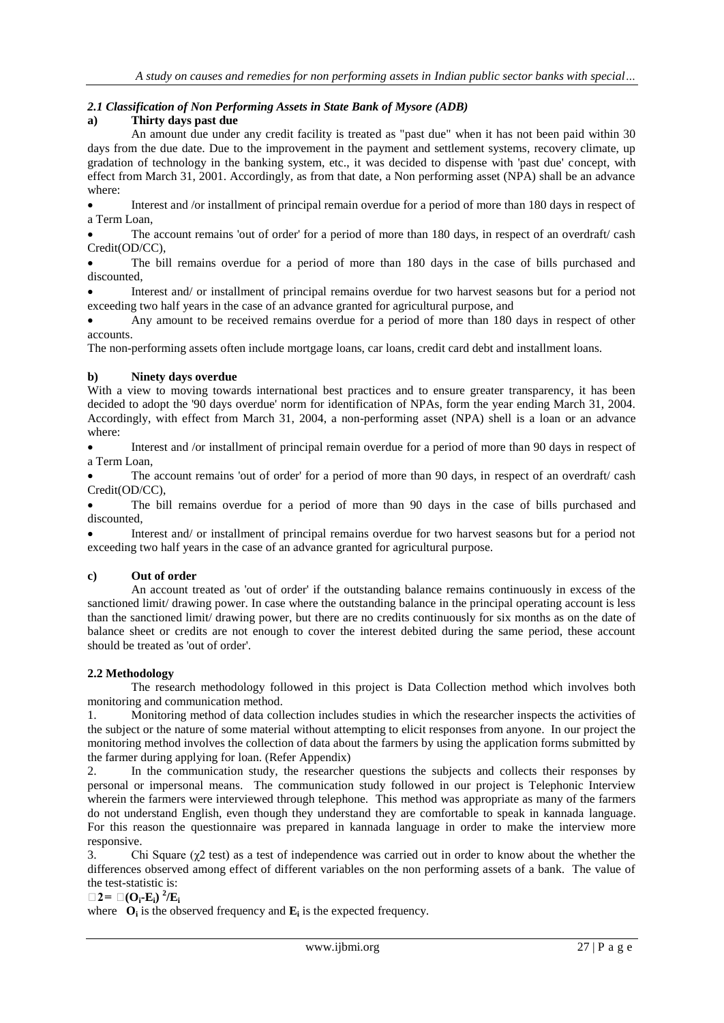# *2.1 Classification of Non Performing Assets in State Bank of Mysore (ADB)*

# **a) Thirty days past due**

An amount due under any credit facility is treated as "past due" when it has not been paid within 30 days from the due date. Due to the improvement in the payment and settlement systems, recovery climate, up gradation of technology in the banking system, etc., it was decided to dispense with 'past due' concept, with effect from March 31, 2001. Accordingly, as from that date, a Non performing asset (NPA) shall be an advance where:

 Interest and /or installment of principal remain overdue for a period of more than 180 days in respect of a Term Loan,

 The account remains 'out of order' for a period of more than 180 days, in respect of an overdraft/ cash Credit(OD/CC),

 The bill remains overdue for a period of more than 180 days in the case of bills purchased and discounted,

 Interest and/ or installment of principal remains overdue for two harvest seasons but for a period not exceeding two half years in the case of an advance granted for agricultural purpose, and

 Any amount to be received remains overdue for a period of more than 180 days in respect of other accounts.

The non-performing assets often include mortgage loans, car loans, credit card debt and installment loans.

## **b) Ninety days overdue**

With a view to moving towards international best practices and to ensure greater transparency, it has been decided to adopt the '90 days overdue' norm for identification of NPAs, form the year ending March 31, 2004. Accordingly, with effect from March 31, 2004, a non-performing asset (NPA) shell is a loan or an advance where:

 Interest and /or installment of principal remain overdue for a period of more than 90 days in respect of a Term Loan,

The account remains 'out of order' for a period of more than 90 days, in respect of an overdraft/ cash Credit(OD/CC),

 The bill remains overdue for a period of more than 90 days in the case of bills purchased and discounted,

 Interest and/ or installment of principal remains overdue for two harvest seasons but for a period not exceeding two half years in the case of an advance granted for agricultural purpose.

#### **c) Out of order**

An account treated as 'out of order' if the outstanding balance remains continuously in excess of the sanctioned limit/ drawing power. In case where the outstanding balance in the principal operating account is less than the sanctioned limit/ drawing power, but there are no credits continuously for six months as on the date of balance sheet or credits are not enough to cover the interest debited during the same period, these account should be treated as 'out of order'.

#### **2.2 Methodology**

The research methodology followed in this project is Data Collection method which involves both monitoring and communication method.

1. Monitoring method of data collection includes studies in which the researcher inspects the activities of the subject or the nature of some material without attempting to elicit responses from anyone. In our project the monitoring method involves the collection of data about the farmers by using the application forms submitted by the farmer during applying for loan. (Refer Appendix)

2. In the communication study, the researcher questions the subjects and collects their responses by personal or impersonal means. The communication study followed in our project is Telephonic Interview wherein the farmers were interviewed through telephone. This method was appropriate as many of the farmers do not understand English, even though they understand they are comfortable to speak in kannada language. For this reason the questionnaire was prepared in kannada language in order to make the interview more responsive.

3. Chi Square  $(\chi^2 \text{ test})$  as a test of independence was carried out in order to know about the whether the differences observed among effect of different variables on the non performing assets of a bank. The value of the test-statistic is:

 $\Box$ **2** =  $\Box$  (**O**<sub>**i</sub><b>-E**<sub>*i*</sub>)<sup> $2$ </sup>/E<sub>*i*</sub></sub>

where  $O_i$  is the observed frequency and  $E_i$  is the expected frequency.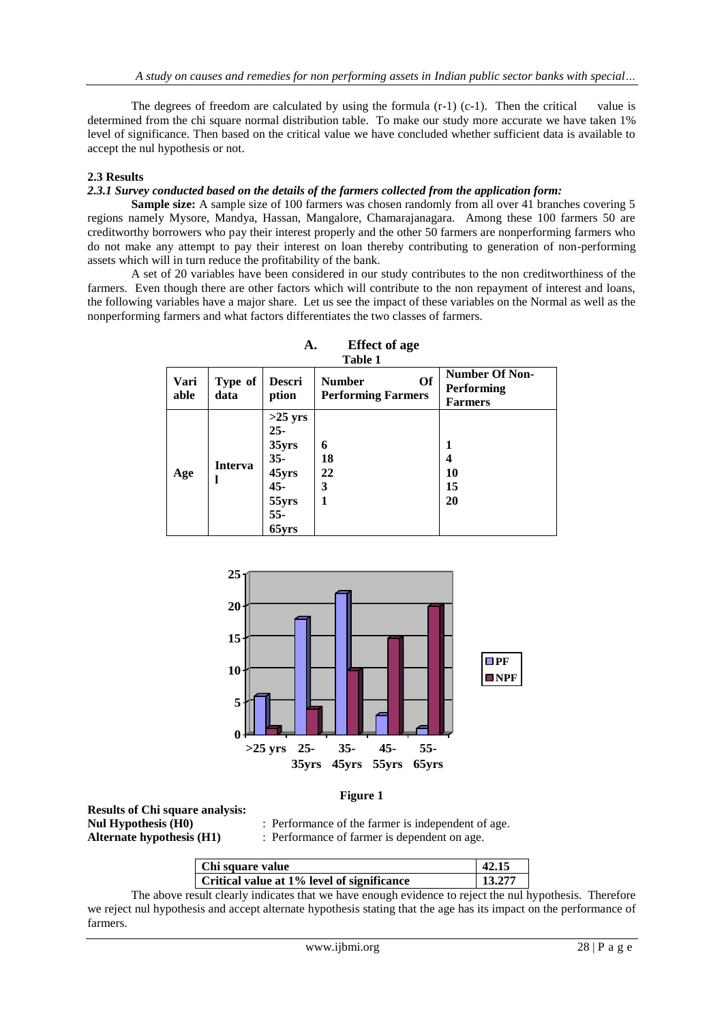The degrees of freedom are calculated by using the formula  $(r-1)$   $(c-1)$ . Then the critical value is determined from the chi square normal distribution table. To make our study more accurate we have taken 1% level of significance. Then based on the critical value we have concluded whether sufficient data is available to accept the nul hypothesis or not.

#### **2.3 Results**

#### *2.3.1 Survey conducted based on the details of the farmers collected from the application form:*

**Sample size:** A sample size of 100 farmers was chosen randomly from all over 41 branches covering 5 regions namely Mysore, Mandya, Hassan, Mangalore, Chamarajanagara. Among these 100 farmers 50 are creditworthy borrowers who pay their interest properly and the other 50 farmers are nonperforming farmers who do not make any attempt to pay their interest on loan thereby contributing to generation of non-performing assets which will in turn reduce the profitability of the bank.

A set of 20 variables have been considered in our study contributes to the non creditworthiness of the farmers. Even though there are other factors which will contribute to the non repayment of interest and loans, the following variables have a major share. Let us see the impact of these variables on the Normal as well as the nonperforming farmers and what factors differentiates the two classes of farmers.

| Vari<br>able | Type of<br>data | <b>Descri</b><br>ption                                                                | Of<br><b>Number</b><br><b>Performing Farmers</b> | <b>Number Of Non-</b><br><b>Performing</b><br><b>Farmers</b> |
|--------------|-----------------|---------------------------------------------------------------------------------------|--------------------------------------------------|--------------------------------------------------------------|
| Age          | <b>Interva</b>  | $>25$ yrs<br>$25 -$<br>35yrs<br>$35 -$<br>45yrs<br>$45 -$<br>55yrs<br>$55 -$<br>65yrs | 6<br>18<br>22<br>3<br>1                          | 1<br>4<br>10<br>15<br>20                                     |

**A. Effect of age Table 1** 



#### **Figure 1**

**Results of Chi square analysis:** Alternate hypothesis (H1) : Performance of farmer is dependent on age.

**Nul Hypothesis (H0)** : Performance of the farmer is independent of age.

| Chi square value                           | 42.15  |
|--------------------------------------------|--------|
| Critical value at 1% level of significance | 13.277 |

The above result clearly indicates that we have enough evidence to reject the nul hypothesis. Therefore we reject nul hypothesis and accept alternate hypothesis stating that the age has its impact on the performance of farmers.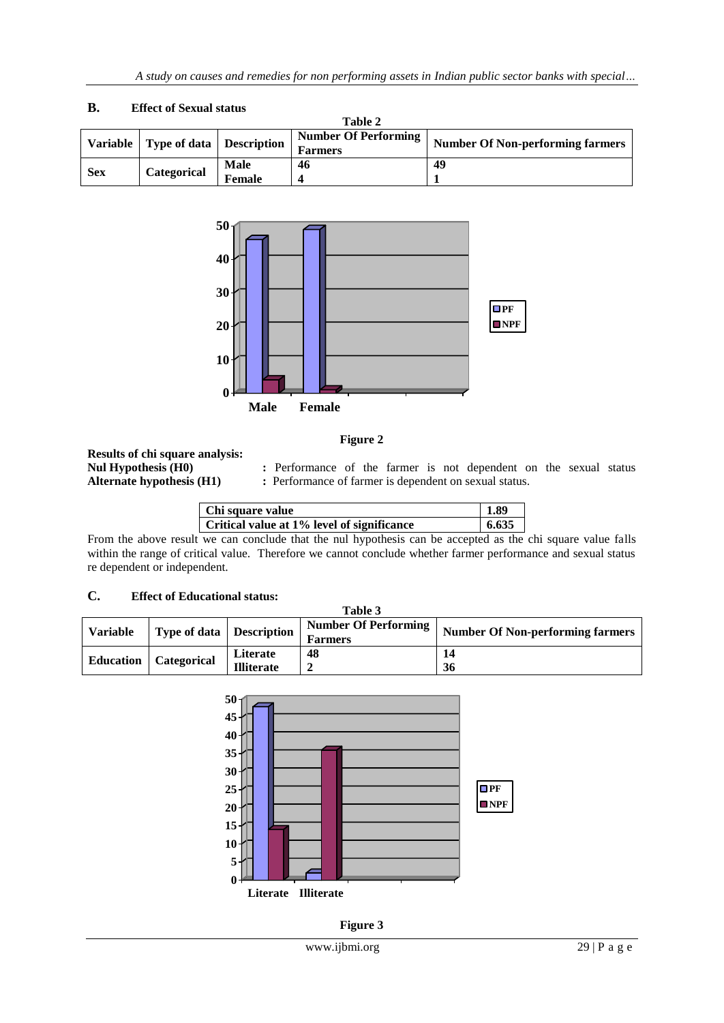|            |                                       |             | Table 2                     |                                         |  |
|------------|---------------------------------------|-------------|-----------------------------|-----------------------------------------|--|
|            | Variable   Type of data   Description |             | <b>Number Of Performing</b> | <b>Number Of Non-performing farmers</b> |  |
|            |                                       |             | <b>Farmers</b>              |                                         |  |
| <b>Sex</b> |                                       | <b>Male</b> | 46                          | 49                                      |  |
|            | Categorical                           | Female      |                             |                                         |  |

#### **B. Effect of Sexual status**



#### **Figure 2**

# **Results of chi square analysis:**

**Nul Hypothesis (H0) :** Performance of the farmer is not dependent on the sexual status **Alternate hypothesis (H1) :** Performance of farmer is dependent on sexual status.

| Chi square value                           | 1.89  |
|--------------------------------------------|-------|
| Critical value at 1% level of significance | 6.635 |

From the above result we can conclude that the nul hypothesis can be accepted as the chi square value falls within the range of critical value. Therefore we cannot conclude whether farmer performance and sexual status re dependent or independent.

## **C. Effect of Educational status:**

|                  |                                 |                   | Table 3                     |                                  |  |
|------------------|---------------------------------|-------------------|-----------------------------|----------------------------------|--|
| <b>Variable</b>  | <b>Type of data</b> Description |                   | <b>Number Of Performing</b> | Number Of Non-performing farmers |  |
|                  |                                 |                   | <b>Farmers</b>              |                                  |  |
|                  |                                 | Literate          | 48                          | 14                               |  |
| <b>Education</b> | <b>Categorical</b>              | <b>Illiterate</b> |                             | 36                               |  |



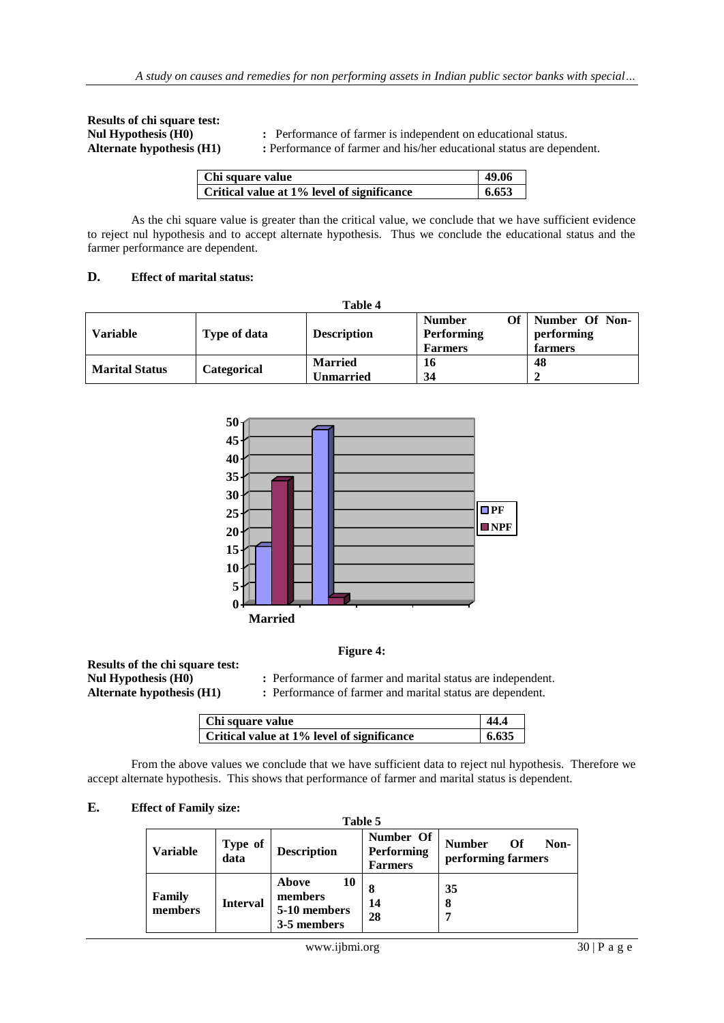**Results of chi square test:**

**Nul Hypothesis (H0) :** Performance of farmer is independent on educational status.

**Alternate hypothesis (H1) :** Performance of farmer and his/her educational status are dependent.

| Chi square value                           | -49.06 |
|--------------------------------------------|--------|
| Critical value at 1% level of significance | 6.653  |

As the chi square value is greater than the critical value, we conclude that we have sufficient evidence to reject nul hypothesis and to accept alternate hypothesis. Thus we conclude the educational status and the farmer performance are dependent.

#### **D. Effect of marital status:**

|                       |              | Table 4                            |                                                            |                                         |
|-----------------------|--------------|------------------------------------|------------------------------------------------------------|-----------------------------------------|
| <b>Variable</b>       | Type of data | <b>Description</b>                 | Оf<br><b>Number</b><br><b>Performing</b><br><b>Farmers</b> | Number Of Non-<br>performing<br>farmers |
| <b>Marital Status</b> | Categorical  | <b>Married</b><br><b>Unmarried</b> | 16<br>34                                                   | 48                                      |



#### **Figure 4:**

**Results of the chi square test:**

**:** Performance of farmer and marital status are independent.

**Alternate hypothesis (H1) :** Performance of farmer and marital status are dependent.

| Chi square value                           | 44.4  |
|--------------------------------------------|-------|
| Critical value at 1% level of significance | 6.635 |

From the above values we conclude that we have sufficient data to reject nul hypothesis. Therefore we accept alternate hypothesis. This shows that performance of farmer and marital status is dependent.

#### **E. Effect of Family size:**

| Table 5           |                 |                                                       |                                                  |                                                   |  |  |  |
|-------------------|-----------------|-------------------------------------------------------|--------------------------------------------------|---------------------------------------------------|--|--|--|
| <b>Variable</b>   | Type of<br>data | <b>Description</b>                                    | Number Of<br><b>Performing</b><br><b>Farmers</b> | <b>Number</b><br>Non-<br>Of<br>performing farmers |  |  |  |
| Family<br>members | <b>Interval</b> | 10<br>Above<br>members<br>5-10 members<br>3-5 members | 14<br>28                                         | 35<br>8                                           |  |  |  |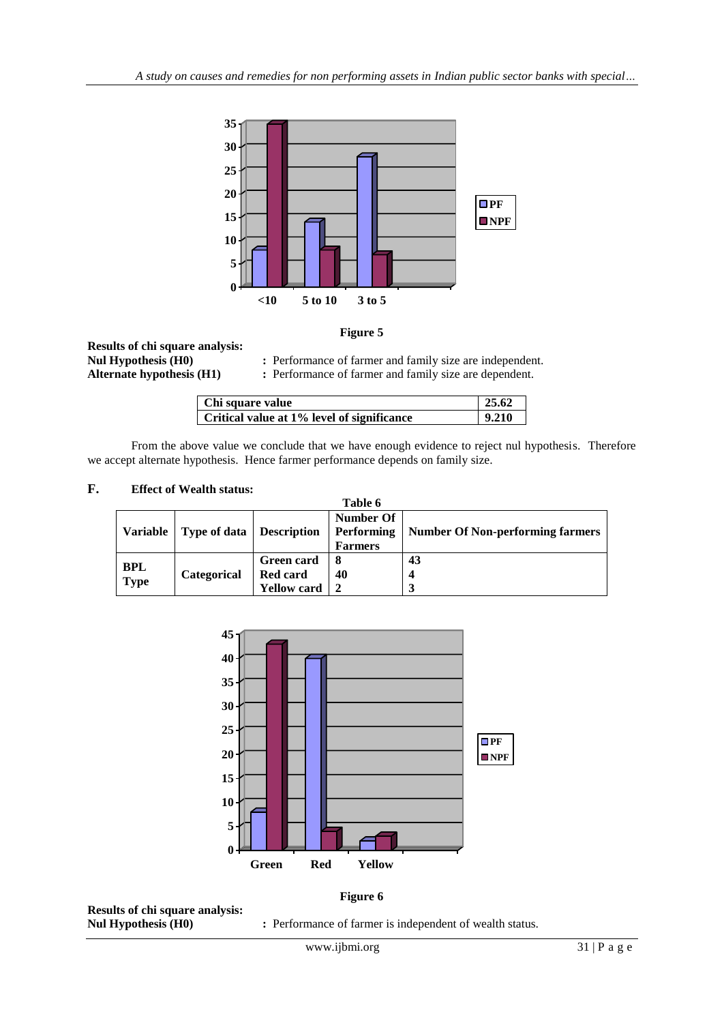

#### **Figure 5**

**Results of chi square analysis:**

**Nul Hypothesis (H0) :** Performance of farmer and family size are independent. **Alternate hypothesis (H1) :** Performance of farmer and family size are dependent.

| Chi square value                           | 25.62 |
|--------------------------------------------|-------|
| Critical value at 1% level of significance | 9.210 |

From the above value we conclude that we have enough evidence to reject nul hypothesis. Therefore we accept alternate hypothesis. Hence farmer performance depends on family size.

#### **F. Effect of Wealth status:**

|                 |                                 |                    | Table 6          |                                         |
|-----------------|---------------------------------|--------------------|------------------|-----------------------------------------|
|                 |                                 |                    | <b>Number Of</b> |                                         |
| <b>Variable</b> | <b>Type of data Description</b> |                    | Performing       | <b>Number Of Non-performing farmers</b> |
|                 |                                 |                    | <b>Farmers</b>   |                                         |
|                 |                                 | <b>Green card</b>  |                  | 43                                      |
| <b>BPL</b>      | Categorical                     | Red card           | 40               |                                         |
| Type            |                                 | <b>Yellow card</b> |                  |                                         |



**Results of chi square analysis:**

**Figure 6**

**:** Performance of farmer is independent of wealth status.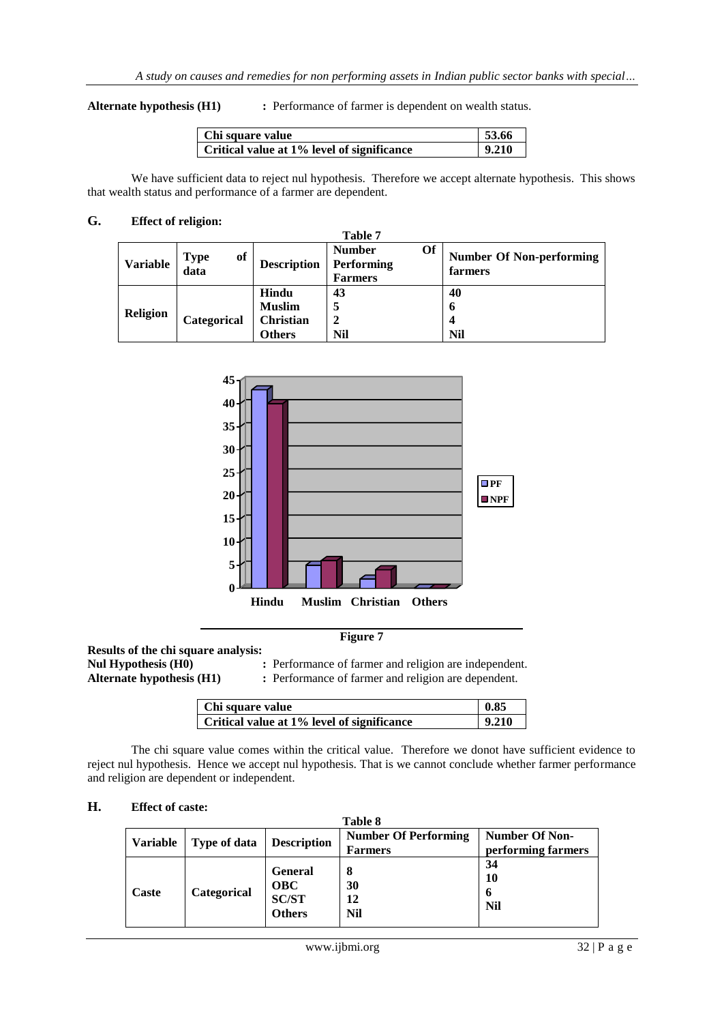**Alternate hypothesis (H1) :** Performance of farmer is dependent on wealth status.

| Chi square value                           | 53.66 |
|--------------------------------------------|-------|
| Critical value at 1% level of significance | 9.210 |

We have sufficient data to reject nul hypothesis. Therefore we accept alternate hypothesis. This shows that wealth status and performance of a farmer are dependent.

**Table 7**

#### **G. Effect of religion:**

| Table 7         |                           |                    |                                                            |                                            |  |
|-----------------|---------------------------|--------------------|------------------------------------------------------------|--------------------------------------------|--|
| <b>Variable</b> | of<br><b>Type</b><br>data | <b>Description</b> | Of<br><b>Number</b><br><b>Performing</b><br><b>Farmers</b> | <b>Number Of Non-performing</b><br>farmers |  |
|                 |                           | Hindu              | 43                                                         | 40                                         |  |
| <b>Religion</b> |                           | <b>Muslim</b>      | 5                                                          | O                                          |  |
|                 | Categorical               | Christian          |                                                            |                                            |  |
|                 |                           | <b>Others</b>      | <b>Nil</b>                                                 | Nil                                        |  |



**Results of the chi square analysis:**

**:** Performance of farmer and religion are independent. Alternate hypothesis (H1) **:** Performance of farmer and religion are dependent.

| Chi square value                           | 0.85  |
|--------------------------------------------|-------|
| Critical value at 1% level of significance | 9.210 |

The chi square value comes within the critical value. Therefore we donot have sufficient evidence to reject nul hypothesis. Hence we accept nul hypothesis. That is we cannot conclude whether farmer performance and religion are dependent or independent.

#### **H. Effect of caste:**

| Table 8         |              |                                                               |                                               |                                             |
|-----------------|--------------|---------------------------------------------------------------|-----------------------------------------------|---------------------------------------------|
| <b>Variable</b> | Type of data | <b>Description</b>                                            | <b>Number Of Performing</b><br><b>Farmers</b> | <b>Number Of Non-</b><br>performing farmers |
| Caste           | Categorical  | <b>General</b><br><b>OBC</b><br><b>SC/ST</b><br><b>Others</b> | 8<br>30<br>12<br><b>Nil</b>                   | 34<br>10<br>6<br><b>Nil</b>                 |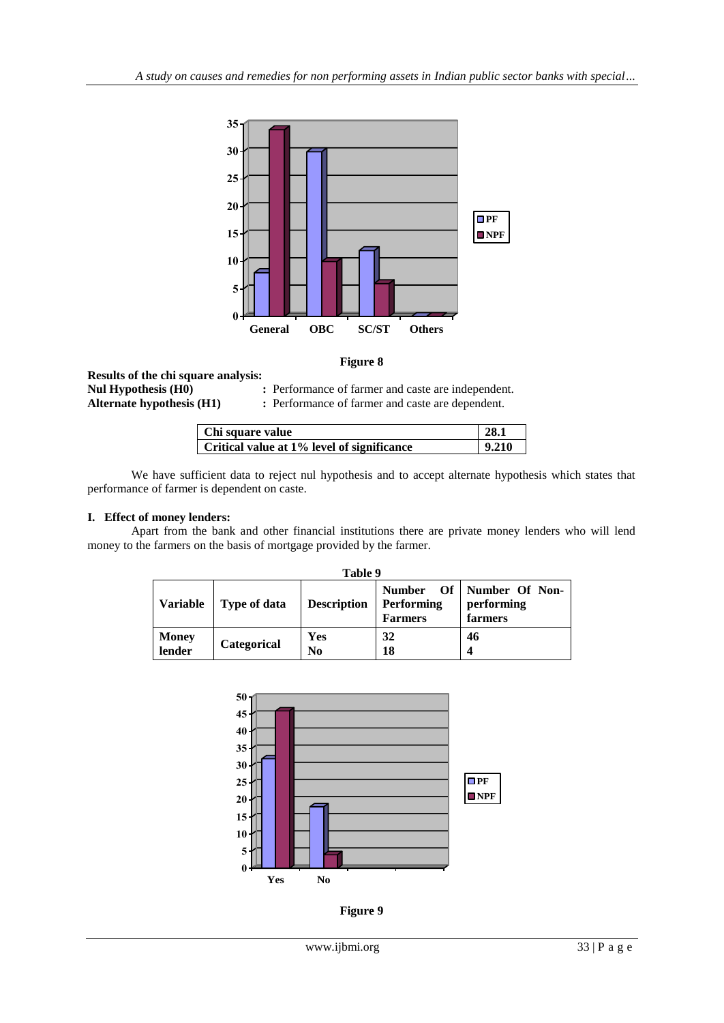

#### **Figure 8**

**Results of the chi square analysis: Nul Hypothesis (H0) :** Performance of farmer and caste are independent. **Alternate hypothesis (H1) :** Performance of farmer and caste are dependent.

| Chi square value                           | 28.1  |
|--------------------------------------------|-------|
| Critical value at 1% level of significance | 9.210 |

We have sufficient data to reject nul hypothesis and to accept alternate hypothesis which states that performance of farmer is dependent on caste.

#### **I. Effect of money lenders:**

Apart from the bank and other financial institutions there are private money lenders who will lend money to the farmers on the basis of mortgage provided by the farmer.

| Table 9                |                     |                       |                                                      |                                              |  |
|------------------------|---------------------|-----------------------|------------------------------------------------------|----------------------------------------------|--|
| <b>Variable</b>        | <b>Type of data</b> | <b>Description</b>    | <b>Number</b><br><b>Performing</b><br><b>Farmers</b> | Of   Number Of Non-<br>performing<br>farmers |  |
| <b>Money</b><br>lender | Categorical         | Yes<br>N <sub>0</sub> | 32<br>18                                             | 46<br>4                                      |  |



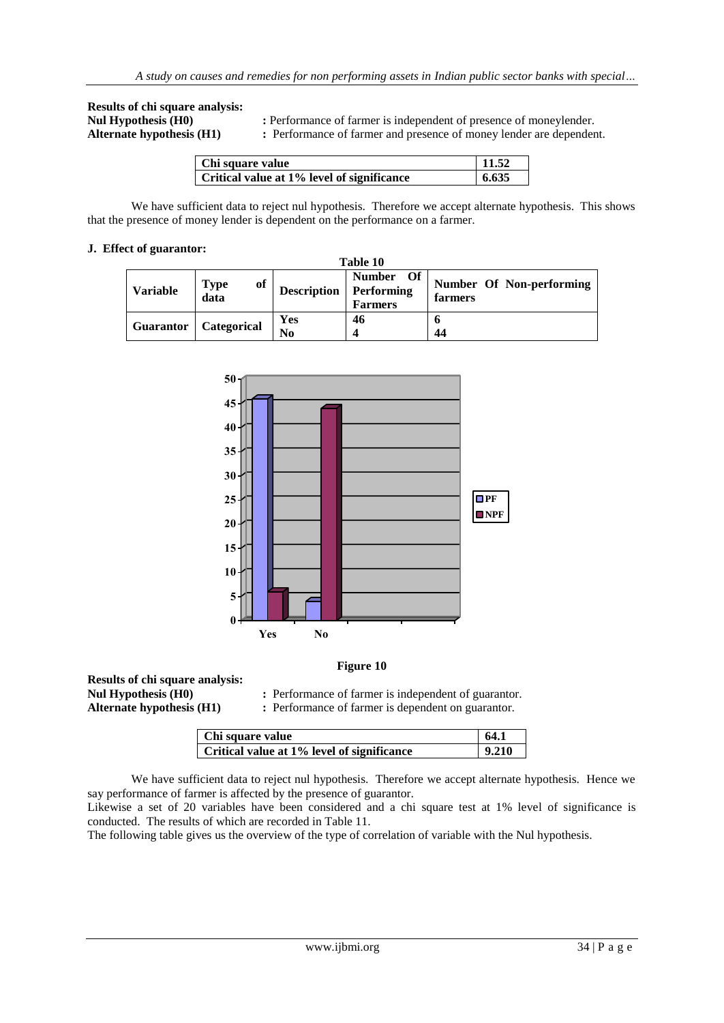**Results of chi square analysis:**

**Nul Hypothesis (H0) :** Performance of farmer is independent of presence of moneylender.

**Alternate hypothesis (H1) :** Performance of farmer and presence of money lender are dependent.

| Chi square value                           | 11.52 |
|--------------------------------------------|-------|
| Critical value at 1% level of significance | 6.635 |

We have sufficient data to reject nul hypothesis. Therefore we accept alternate hypothesis. This shows that the presence of money lender is dependent on the performance on a farmer.

#### **J. Effect of guarantor:**

|                  |                           |                               | Table 10                                     |                                     |
|------------------|---------------------------|-------------------------------|----------------------------------------------|-------------------------------------|
| <b>Variable</b>  | <b>Type</b><br>of<br>data | <b>Description</b> Performing | <b>Of</b><br><b>Number</b><br><b>Farmers</b> | Number Of Non-performing<br>farmers |
| <b>Guarantor</b> | Categorical               | Yes<br>No                     | 46<br>4                                      | 44                                  |



#### **Figure 10**

**Results of chi square analysis:**

**Nul Hypothesis (H0) :** Performance of farmer is independent of guarantor.

**Alternate hypothesis (H1) :** Performance of farmer is dependent on guarantor.

| Chi square value                           | 64.1  |
|--------------------------------------------|-------|
|                                            |       |
| Critical value at 1% level of significance | 9.210 |

We have sufficient data to reject nul hypothesis. Therefore we accept alternate hypothesis. Hence we say performance of farmer is affected by the presence of guarantor.

Likewise a set of 20 variables have been considered and a chi square test at 1% level of significance is conducted. The results of which are recorded in Table 11.

The following table gives us the overview of the type of correlation of variable with the Nul hypothesis.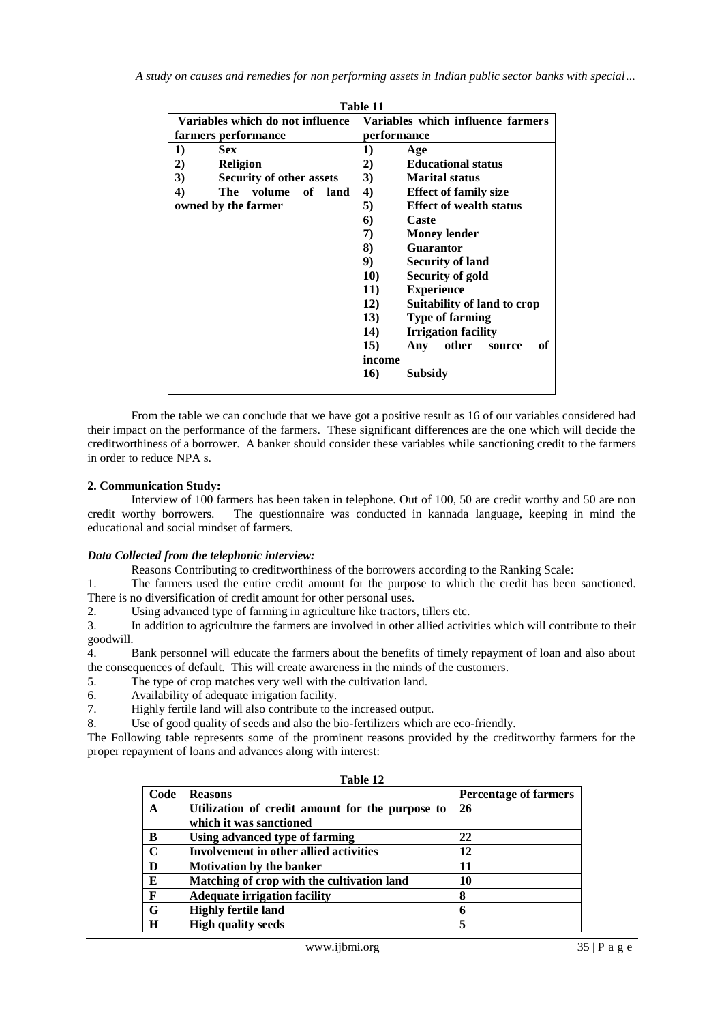|                                       | Table 11                                  |
|---------------------------------------|-------------------------------------------|
| Variables which do not influence      | Variables which influence farmers         |
| farmers performance                   | performance                               |
| 1)<br><b>Sex</b>                      | 1)<br>Age                                 |
| 2)<br><b>Religion</b>                 | 2)<br><b>Educational status</b>           |
| 3)<br><b>Security of other assets</b> | 3)<br><b>Marital status</b>               |
| 4)<br>The volume<br>of _<br>land      | 4)<br><b>Effect of family size</b>        |
| owned by the farmer                   | 5)<br><b>Effect of wealth status</b>      |
|                                       | Caste<br>6)                               |
|                                       | 7)<br><b>Money lender</b>                 |
|                                       | 8)<br><b>Guarantor</b>                    |
|                                       | 9)<br><b>Security of land</b>             |
|                                       | <b>10)</b><br>Security of gold            |
|                                       | 11)<br><b>Experience</b>                  |
|                                       | 12)<br>Suitability of land to crop        |
|                                       | 13)<br><b>Type of farming</b>             |
|                                       | <b>14</b> )<br><b>Irrigation facility</b> |
|                                       | 15)<br>other<br>оf<br>Any<br>source       |
|                                       | income                                    |
|                                       | 16)<br>Subsidy                            |

From the table we can conclude that we have got a positive result as 16 of our variables considered had their impact on the performance of the farmers. These significant differences are the one which will decide the creditworthiness of a borrower. A banker should consider these variables while sanctioning credit to the farmers in order to reduce NPA s.

#### **2. Communication Study:**

Interview of 100 farmers has been taken in telephone. Out of 100, 50 are credit worthy and 50 are non credit worthy borrowers. The questionnaire was conducted in kannada language, keeping in mind the educational and social mindset of farmers.

#### *Data Collected from the telephonic interview:*

Reasons Contributing to creditworthiness of the borrowers according to the Ranking Scale:

1. The farmers used the entire credit amount for the purpose to which the credit has been sanctioned. There is no diversification of credit amount for other personal uses.

2. Using advanced type of farming in agriculture like tractors, tillers etc.

3. In addition to agriculture the farmers are involved in other allied activities which will contribute to their goodwill.

4. Bank personnel will educate the farmers about the benefits of timely repayment of loan and also about the consequences of default. This will create awareness in the minds of the customers.

5. The type of crop matches very well with the cultivation land.

6. Availability of adequate irrigation facility.

7. Highly fertile land will also contribute to the increased output.

8. Use of good quality of seeds and also the bio-fertilizers which are eco-friendly.

The Following table represents some of the prominent reasons provided by the creditworthy farmers for the proper repayment of loans and advances along with interest:

| Code                    | <b>Reasons</b>                                  | <b>Percentage of farmers</b> |  |  |
|-------------------------|-------------------------------------------------|------------------------------|--|--|
| A                       | Utilization of credit amount for the purpose to | -26                          |  |  |
|                         | which it was sanctioned                         |                              |  |  |
| B                       | Using advanced type of farming                  | 22                           |  |  |
| $\overline{\mathbf{c}}$ | Involvement in other allied activities          | 12                           |  |  |
| D                       | <b>Motivation by the banker</b>                 | 11                           |  |  |
| E                       | Matching of crop with the cultivation land      | 10                           |  |  |
| $\mathbf{F}$            | <b>Adequate irrigation facility</b>             | 8                            |  |  |
| G                       | <b>Highly fertile land</b>                      | 6                            |  |  |
| H                       | <b>High quality seeds</b>                       |                              |  |  |

**Table 12**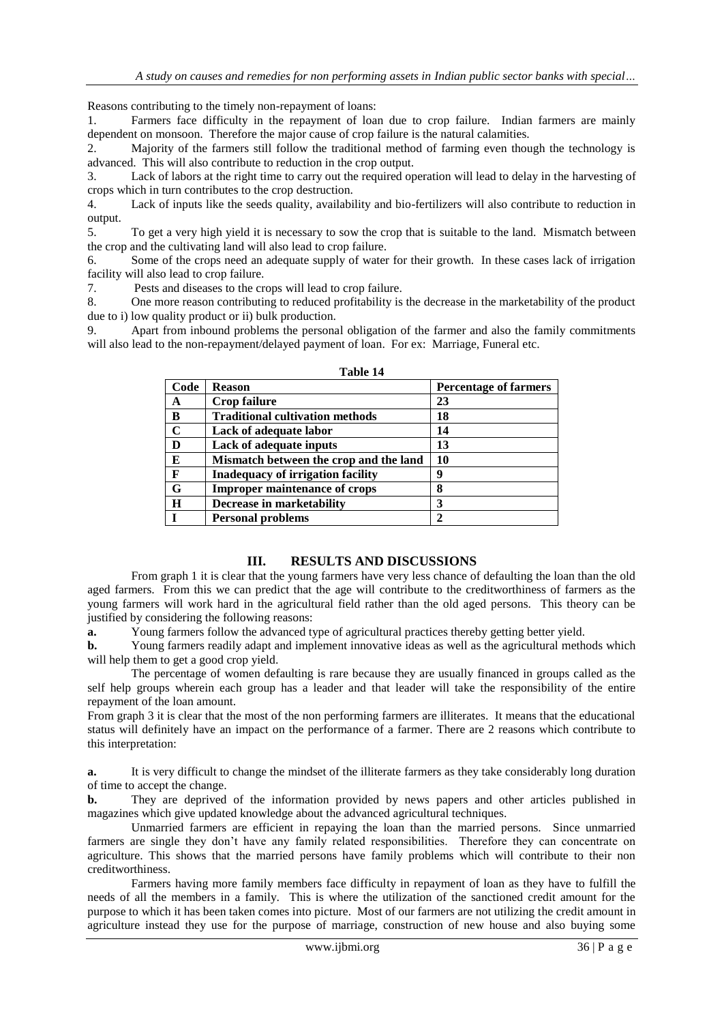Reasons contributing to the timely non-repayment of loans:

1. Farmers face difficulty in the repayment of loan due to crop failure. Indian farmers are mainly dependent on monsoon. Therefore the major cause of crop failure is the natural calamities.

2. Majority of the farmers still follow the traditional method of farming even though the technology is advanced. This will also contribute to reduction in the crop output.

3. Lack of labors at the right time to carry out the required operation will lead to delay in the harvesting of crops which in turn contributes to the crop destruction.

4. Lack of inputs like the seeds quality, availability and bio-fertilizers will also contribute to reduction in output.

5. To get a very high yield it is necessary to sow the crop that is suitable to the land. Mismatch between the crop and the cultivating land will also lead to crop failure.

6. Some of the crops need an adequate supply of water for their growth. In these cases lack of irrigation facility will also lead to crop failure.

7. Pests and diseases to the crops will lead to crop failure.

8. One more reason contributing to reduced profitability is the decrease in the marketability of the product due to i) low quality product or ii) bulk production.

9. Apart from inbound problems the personal obligation of the farmer and also the family commitments will also lead to the non-repayment/delayed payment of loan. For ex: Marriage, Funeral etc.

|             | .                                        |                              |
|-------------|------------------------------------------|------------------------------|
| Code        | <b>Reason</b>                            | <b>Percentage of farmers</b> |
| A           | Crop failure                             | 23                           |
| B           | <b>Traditional cultivation methods</b>   | 18                           |
| $\mathbf C$ | Lack of adequate labor                   | 14                           |
| D           | Lack of adequate inputs                  | 13                           |
| E           | Mismatch between the crop and the land   | 10                           |
| F           | <b>Inadequacy of irrigation facility</b> | 9                            |
| G           | <b>Improper maintenance of crops</b>     | 8                            |
| $\bf H$     | <b>Decrease in marketability</b>         | 3                            |
|             | <b>Personal problems</b>                 |                              |

| DI<br>Ш<br>и<br>٠ |  |
|-------------------|--|
|-------------------|--|

#### **III. RESULTS AND DISCUSSIONS**

From graph 1 it is clear that the young farmers have very less chance of defaulting the loan than the old aged farmers. From this we can predict that the age will contribute to the creditworthiness of farmers as the young farmers will work hard in the agricultural field rather than the old aged persons. This theory can be justified by considering the following reasons:

**a.** Young farmers follow the advanced type of agricultural practices thereby getting better yield.

**b.** Young farmers readily adapt and implement innovative ideas as well as the agricultural methods which will help them to get a good crop yield.

The percentage of women defaulting is rare because they are usually financed in groups called as the self help groups wherein each group has a leader and that leader will take the responsibility of the entire repayment of the loan amount.

From graph 3 it is clear that the most of the non performing farmers are illiterates. It means that the educational status will definitely have an impact on the performance of a farmer. There are 2 reasons which contribute to this interpretation:

**a.** It is very difficult to change the mindset of the illiterate farmers as they take considerably long duration of time to accept the change.

**b.** They are deprived of the information provided by news papers and other articles published in magazines which give updated knowledge about the advanced agricultural techniques.

Unmarried farmers are efficient in repaying the loan than the married persons. Since unmarried farmers are single they don't have any family related responsibilities. Therefore they can concentrate on agriculture. This shows that the married persons have family problems which will contribute to their non creditworthiness.

Farmers having more family members face difficulty in repayment of loan as they have to fulfill the needs of all the members in a family. This is where the utilization of the sanctioned credit amount for the purpose to which it has been taken comes into picture. Most of our farmers are not utilizing the credit amount in agriculture instead they use for the purpose of marriage, construction of new house and also buying some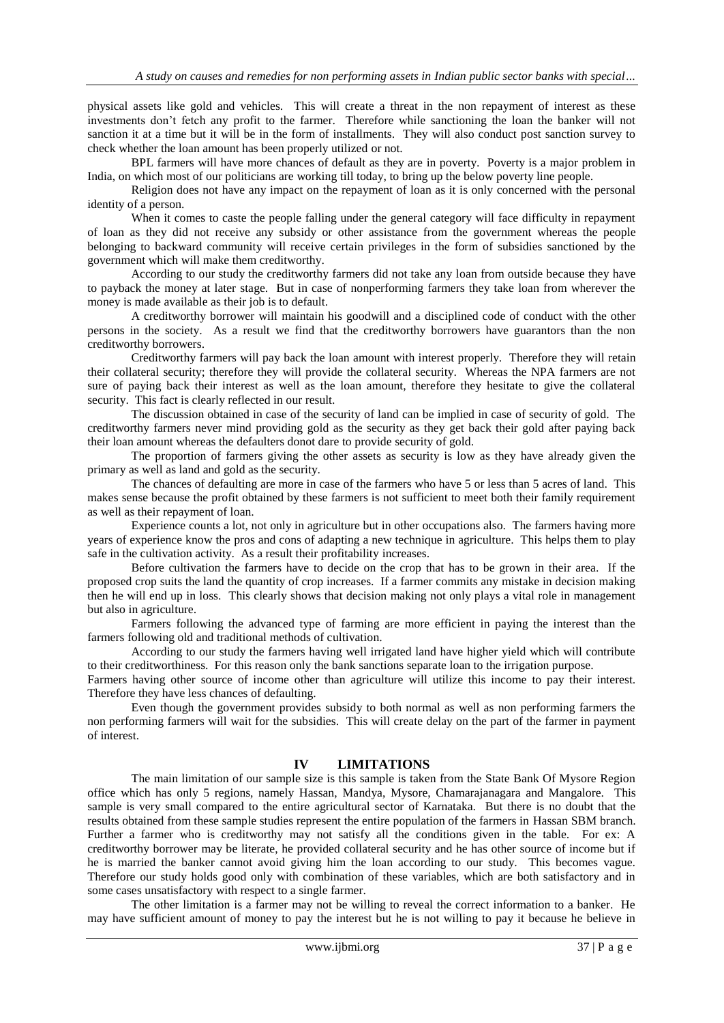physical assets like gold and vehicles. This will create a threat in the non repayment of interest as these investments don't fetch any profit to the farmer. Therefore while sanctioning the loan the banker will not sanction it at a time but it will be in the form of installments. They will also conduct post sanction survey to check whether the loan amount has been properly utilized or not.

BPL farmers will have more chances of default as they are in poverty. Poverty is a major problem in India, on which most of our politicians are working till today, to bring up the below poverty line people.

Religion does not have any impact on the repayment of loan as it is only concerned with the personal identity of a person.

When it comes to caste the people falling under the general category will face difficulty in repayment of loan as they did not receive any subsidy or other assistance from the government whereas the people belonging to backward community will receive certain privileges in the form of subsidies sanctioned by the government which will make them creditworthy.

According to our study the creditworthy farmers did not take any loan from outside because they have to payback the money at later stage. But in case of nonperforming farmers they take loan from wherever the money is made available as their job is to default.

A creditworthy borrower will maintain his goodwill and a disciplined code of conduct with the other persons in the society. As a result we find that the creditworthy borrowers have guarantors than the non creditworthy borrowers.

Creditworthy farmers will pay back the loan amount with interest properly. Therefore they will retain their collateral security; therefore they will provide the collateral security. Whereas the NPA farmers are not sure of paying back their interest as well as the loan amount, therefore they hesitate to give the collateral security. This fact is clearly reflected in our result.

The discussion obtained in case of the security of land can be implied in case of security of gold. The creditworthy farmers never mind providing gold as the security as they get back their gold after paying back their loan amount whereas the defaulters donot dare to provide security of gold.

The proportion of farmers giving the other assets as security is low as they have already given the primary as well as land and gold as the security.

The chances of defaulting are more in case of the farmers who have 5 or less than 5 acres of land. This makes sense because the profit obtained by these farmers is not sufficient to meet both their family requirement as well as their repayment of loan.

Experience counts a lot, not only in agriculture but in other occupations also. The farmers having more years of experience know the pros and cons of adapting a new technique in agriculture. This helps them to play safe in the cultivation activity. As a result their profitability increases.

Before cultivation the farmers have to decide on the crop that has to be grown in their area. If the proposed crop suits the land the quantity of crop increases. If a farmer commits any mistake in decision making then he will end up in loss. This clearly shows that decision making not only plays a vital role in management but also in agriculture.

Farmers following the advanced type of farming are more efficient in paying the interest than the farmers following old and traditional methods of cultivation.

According to our study the farmers having well irrigated land have higher yield which will contribute to their creditworthiness. For this reason only the bank sanctions separate loan to the irrigation purpose.

Farmers having other source of income other than agriculture will utilize this income to pay their interest. Therefore they have less chances of defaulting.

Even though the government provides subsidy to both normal as well as non performing farmers the non performing farmers will wait for the subsidies. This will create delay on the part of the farmer in payment of interest.

#### **IV LIMITATIONS**

The main limitation of our sample size is this sample is taken from the State Bank Of Mysore Region office which has only 5 regions, namely Hassan, Mandya, Mysore, Chamarajanagara and Mangalore. This sample is very small compared to the entire agricultural sector of Karnataka. But there is no doubt that the results obtained from these sample studies represent the entire population of the farmers in Hassan SBM branch. Further a farmer who is creditworthy may not satisfy all the conditions given in the table. For ex: A creditworthy borrower may be literate, he provided collateral security and he has other source of income but if he is married the banker cannot avoid giving him the loan according to our study. This becomes vague. Therefore our study holds good only with combination of these variables, which are both satisfactory and in some cases unsatisfactory with respect to a single farmer.

The other limitation is a farmer may not be willing to reveal the correct information to a banker. He may have sufficient amount of money to pay the interest but he is not willing to pay it because he believe in